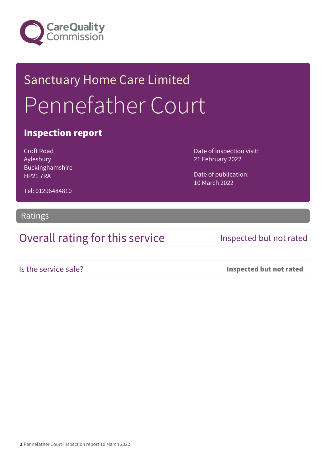

# Sanctuary Home Care Limited Pennefather Court

### Inspection report

Croft Road Aylesbury Buckinghamshire HP21 7RA

Date of inspection visit: 21 February 2022

Date of publication: 10 March 2022

Tel: 01296484810

### Ratings

Overall rating for this service Inspected but not rated

Is the service safe? Inspected but not rated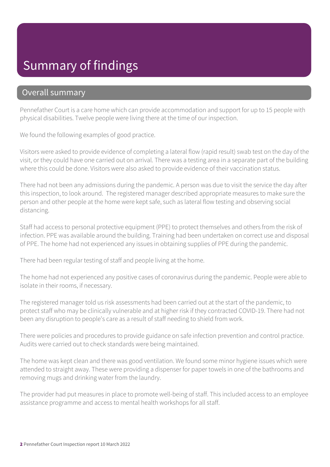# Summary of findings

### Overall summary

Pennefather Court is a care home which can provide accommodation and support for up to 15 people with physical disabilities. Twelve people were living there at the time of our inspection.

We found the following examples of good practice.

Visitors were asked to provide evidence of completing a lateral flow (rapid result) swab test on the day of the visit, or they could have one carried out on arrival. There was a testing area in a separate part of the building where this could be done. Visitors were also asked to provide evidence of their vaccination status.

There had not been any admissions during the pandemic. A person was due to visit the service the day after this inspection, to look around. The registered manager described appropriate measures to make sure the person and other people at the home were kept safe, such as lateral flow testing and observing social distancing.

Staff had access to personal protective equipment (PPE) to protect themselves and others from the risk of infection. PPE was available around the building. Training had been undertaken on correct use and disposal of PPE. The home had not experienced any issues in obtaining supplies of PPE during the pandemic.

There had been regular testing of staff and people living at the home.

The home had not experienced any positive cases of coronavirus during the pandemic. People were able to isolate in their rooms, if necessary.

The registered manager told us risk assessments had been carried out at the start of the pandemic, to protect staff who may be clinically vulnerable and at higher risk if they contracted COVID-19. There had not been any disruption to people's care as a result of staff needing to shield from work.

There were policies and procedures to provide guidance on safe infection prevention and control practice. Audits were carried out to check standards were being maintained.

The home was kept clean and there was good ventilation. We found some minor hygiene issues which were attended to straight away. These were providing a dispenser for paper towels in one of the bathrooms and removing mugs and drinking water from the laundry.

The provider had put measures in place to promote well-being of staff. This included access to an employee assistance programme and access to mental health workshops for all staff.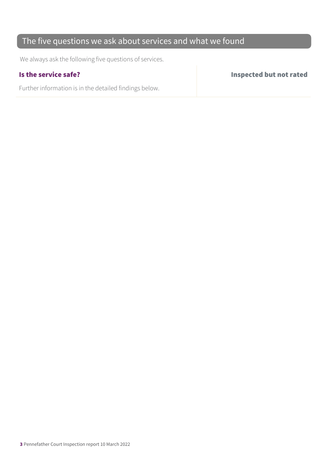### The five questions we ask about services and what we found

We always ask the following five questions of services.

Further information is in the detailed findings below.

Is the service safe? Inspected but not rated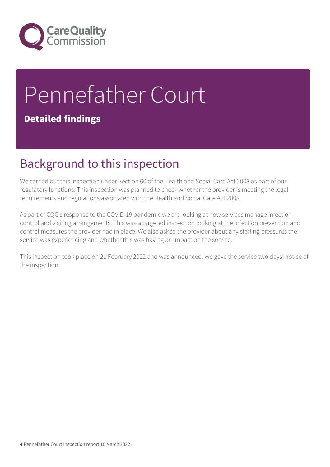

# Pennefather Court

### Detailed findings

# Background to this inspection

We carried out this inspection under Section 60 of the Health and Social Care Act 2008 as part of our regulatory functions. This inspection was planned to check whether the provider is meeting the legal requirements and regulations associated with the Health and Social Care Act 2008.

As part of CQC's response to the COVID-19 pandemic we are looking at how services manage infection control and visiting arrangements. This was a targeted inspection looking at the infection prevention and control measures the provider had in place. We also asked the provider about any staffing pressures the service was experiencing and whether this was having an impact on the service.

This inspection took place on 21 February 2022 and was announced. We gave the service two days' notice of the inspection.